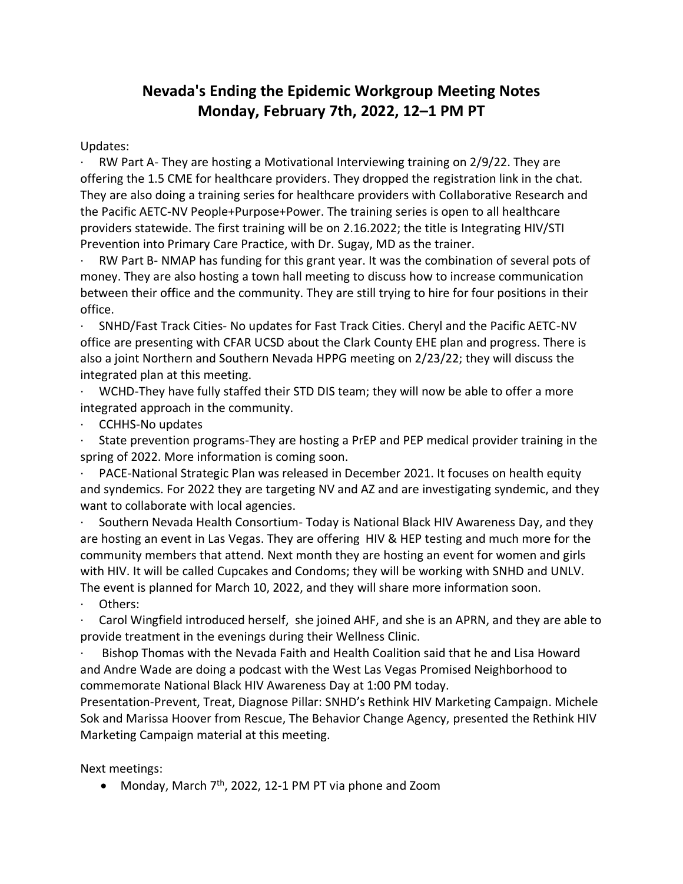## **Nevada's Ending the Epidemic Workgroup Meeting Notes Monday, February 7th, 2022, 12–1 PM PT**

Updates:

RW Part A- They are hosting a Motivational Interviewing training on 2/9/22. They are offering the 1.5 CME for healthcare providers. They dropped the registration link in the chat. They are also doing a training series for healthcare providers with Collaborative Research and the Pacific AETC-NV People+Purpose+Power. The training series is open to all healthcare providers statewide. The first training will be on 2.16.2022; the title is Integrating HIV/STI Prevention into Primary Care Practice, with Dr. Sugay, MD as the trainer.

RW Part B- NMAP has funding for this grant year. It was the combination of several pots of money. They are also hosting a town hall meeting to discuss how to increase communication between their office and the community. They are still trying to hire for four positions in their office.

· SNHD/Fast Track Cities- No updates for Fast Track Cities. Cheryl and the Pacific AETC-NV office are presenting with CFAR UCSD about the Clark County EHE plan and progress. There is also a joint Northern and Southern Nevada HPPG meeting on 2/23/22; they will discuss the integrated plan at this meeting.

· WCHD-They have fully staffed their STD DIS team; they will now be able to offer a more integrated approach in the community.

· CCHHS-No updates

State prevention programs-They are hosting a PrEP and PEP medical provider training in the spring of 2022. More information is coming soon.

PACE-National Strategic Plan was released in December 2021. It focuses on health equity and syndemics. For 2022 they are targeting NV and AZ and are investigating syndemic, and they want to collaborate with local agencies.

· Southern Nevada Health Consortium- Today is National Black HIV Awareness Day, and they are hosting an event in Las Vegas. They are offering HIV & HEP testing and much more for the community members that attend. Next month they are hosting an event for women and girls with HIV. It will be called Cupcakes and Condoms; they will be working with SNHD and UNLV. The event is planned for March 10, 2022, and they will share more information soon.

Others:

Carol Wingfield introduced herself, she joined AHF, and she is an APRN, and they are able to provide treatment in the evenings during their Wellness Clinic.

Bishop Thomas with the Nevada Faith and Health Coalition said that he and Lisa Howard and Andre Wade are doing a podcast with the West Las Vegas Promised Neighborhood to commemorate National Black HIV Awareness Day at 1:00 PM today.

Presentation-Prevent, Treat, Diagnose Pillar: SNHD's Rethink HIV Marketing Campaign. Michele Sok and Marissa Hoover from Rescue, The Behavior Change Agency, presented the Rethink HIV Marketing Campaign material at this meeting.

Next meetings:

• Monday, March 7<sup>th</sup>, 2022, 12-1 PM PT via phone and Zoom